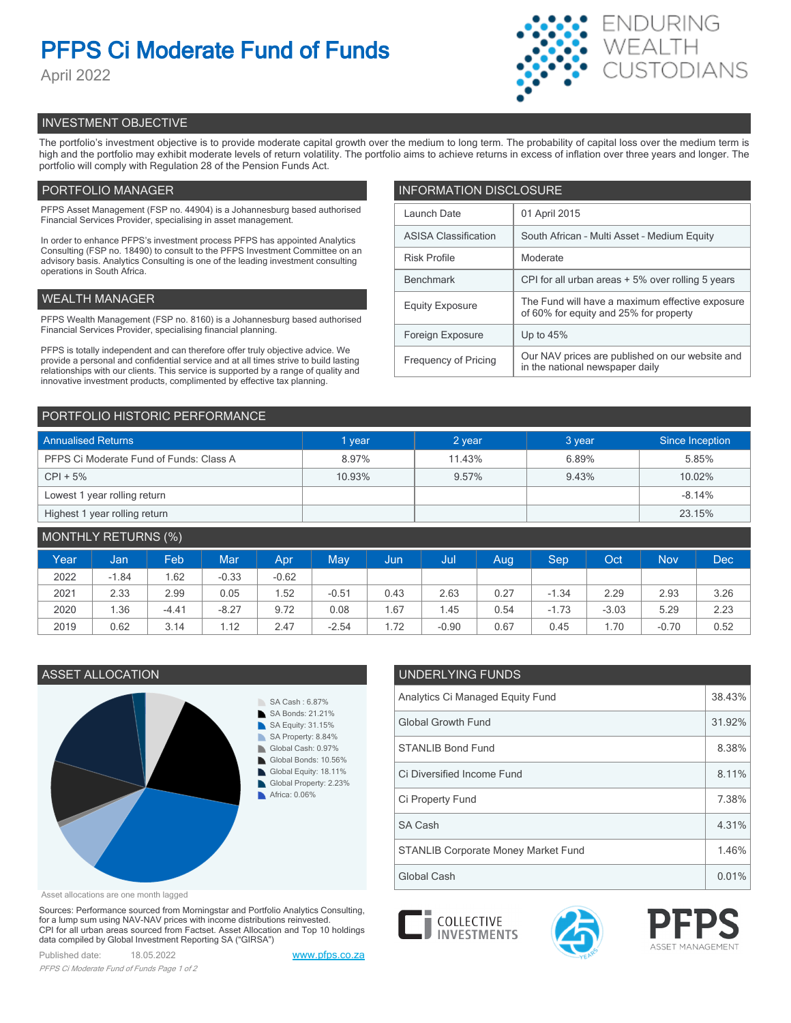# **PFPS Ci Moderate Fund of Funds**

April 2022



# INVESTMENT OBJECTIVE

The portfolio's investment objective is to provide moderate capital growth over the medium to long term. The probability of capital loss over the medium term is high and the portfolio may exhibit moderate levels of return volatility. The portfolio aims to achieve returns in excess of inflation over three years and longer. The portfolio will comply with Regulation 28 of the Pension Funds Act.

# PORTFOLIO MANAGER

PFPS Asset Management (FSP no. 44904) is a Johannesburg based authorised Financial Services Provider, specialising in asset management.

In order to enhance PFPS's investment process PFPS has appointed Analytics Consulting (FSP no. 18490) to consult to the PFPS Investment Committee on an advisory basis. Analytics Consulting is one of the leading investment consulting operations in South Africa.

# WEALTH MANAGER

PFPS Wealth Management (FSP no. 8160) is a Johannesburg based authorised Financial Services Provider, specialising financial planning.

PFPS is totally independent and can therefore offer truly objective advice. We provide a personal and confidential service and at all times strive to build lasting relationships with our clients. This service is supported by a range of quality and innovative investment products, complimented by effective tax planning.

| <b>INFORMATION DISCLOSURE</b> |                                                                                           |  |  |  |  |  |
|-------------------------------|-------------------------------------------------------------------------------------------|--|--|--|--|--|
| Launch Date                   | 01 April 2015                                                                             |  |  |  |  |  |
| <b>ASISA Classification</b>   | South African - Multi Asset - Medium Equity                                               |  |  |  |  |  |
| <b>Risk Profile</b>           | Moderate                                                                                  |  |  |  |  |  |
| <b>Benchmark</b>              | CPI for all urban areas + 5% over rolling 5 years                                         |  |  |  |  |  |
| <b>Equity Exposure</b>        | The Fund will have a maximum effective exposure<br>of 60% for equity and 25% for property |  |  |  |  |  |
| Foreign Exposure              | Up to $45%$                                                                               |  |  |  |  |  |
| <b>Frequency of Pricing</b>   | Our NAV prices are published on our website and<br>in the national newspaper daily        |  |  |  |  |  |

# PORTFOLIO HISTORIC PERFORMANCE

| <b>Annualised Returns</b>               | 1 year | 2 year | 3 year | Since Inception |  |
|-----------------------------------------|--------|--------|--------|-----------------|--|
| PFPS Ci Moderate Fund of Funds: Class A | 8.97%  | 11.43% | 6.89%  | 5.85%           |  |
| $CPI + 5%$                              | 10.93% | 9.57%  | 9.43%  | 10.02%          |  |
| Lowest 1 year rolling return            |        |        |        | $-8.14%$        |  |
| Highest 1 year rolling return           |        |        |        | 23.15%          |  |

| <b>MONTHLY RETURNS (%)</b> |         |            |            |            |         |      |         |      |         |         |            |      |
|----------------------------|---------|------------|------------|------------|---------|------|---------|------|---------|---------|------------|------|
| Year                       | Jan     | <b>Feb</b> | <b>Mar</b> | <b>Apr</b> | May     | Jun  | Uul     | Aug  | Sep     | Oct     | <b>Nov</b> | Dec' |
| 2022                       | $-1.84$ | .62        | $-0.33$    | $-0.62$    |         |      |         |      |         |         |            |      |
| 2021                       | 2.33    | 2.99       | 0.05       | .52        | $-0.51$ | 0.43 | 2.63    | 0.27 | $-1.34$ | 2.29    | 2.93       | 3.26 |
| 2020                       | 1.36    | $-4.41$    | $-8.27$    | 9.72       | 0.08    | . 67 | . 45    | 0.54 | $-1.73$ | $-3.03$ | 5.29       | 2.23 |
| 2019                       | 0.62    | 3.14       | 1.12       | 2.47       | $-2.54$ | 1.72 | $-0.90$ | 0.67 | 0.45    | 1.70    | $-0.70$    | 0.52 |



Asset allocations are one month lagged

Sources: Performance sourced from Morningstar and Portfolio Analytics Consulting, for a lump sum using NAV-NAV prices with income distributions reinvested. CPI for all urban areas sourced from Factset. Asset Allocation and Top 10 holdings data compiled by Global Investment Reporting SA ("GIRSA")

Published date: 18.05.2022 [www.pfps.co.za](https://www.pfps.co.za/) *PFPS Ci Moderate Fund of Funds Page 1 of 2*